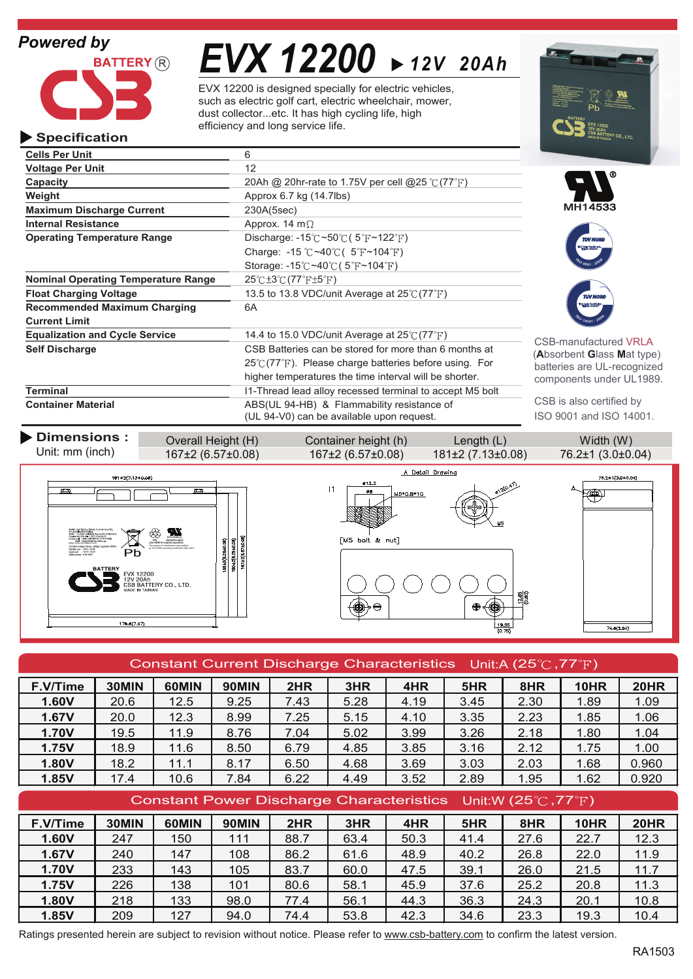

# *EVX 12200 12V 20Ah*

EVX 12200 is designed specially for electric vehicles, such as electric golf cart, electric wheelchair, mower, dust collector...etc. It has high cycling life, high efficiency and long service life.

| <b>Specification</b>                       |                                                                               | <b>EXAMPLE OF BATTERY CO., LTD.</b> |
|--------------------------------------------|-------------------------------------------------------------------------------|-------------------------------------|
| <b>Cells Per Unit</b>                      | 6                                                                             |                                     |
| <b>Voltage Per Unit</b>                    | 12                                                                            |                                     |
| Capacity                                   | 20Ah @ 20hr-rate to 1.75V per cell @25 $\degree$ (77 $\degree$ F)             |                                     |
| Weight                                     | Approx 6.7 kg (14.7lbs)                                                       |                                     |
| <b>Maximum Discharge Current</b>           | 230A(5sec)                                                                    | MH14533                             |
| <b>Internal Resistance</b>                 | Approx. 14 m $\Omega$                                                         |                                     |
| <b>Operating Temperature Range</b>         | Discharge: $-15^{\circ}$ C ~50 $\circ$ C (5 $\circ$ F ~122 $\circ$ F)         | <b>TUV NOR</b>                      |
|                                            | Charge: -15 °C ~40 °C ( $5$ °F ~104 °F)                                       | تجهد                                |
|                                            | Storage: $-15^{\circ}$ C ~40 $\circ$ C (5 <sup>°</sup> F ~104 <sup>°</sup> F) |                                     |
| <b>Nominal Operating Temperature Range</b> | $25^{\circ}$ C $\pm 3^{\circ}$ C $(77^{\circ}$ F $\pm 5^{\circ}$ F)           |                                     |
| <b>Float Charging Voltage</b>              | 13.5 to 13.8 VDC/unit Average at $25^{\circ}$ (77 $^{\circ}$ F)               | <b>TUV NORE</b>                     |
| <b>Recommended Maximum Charging</b>        | 6A                                                                            |                                     |
| <b>Current Limit</b>                       |                                                                               |                                     |
| <b>Equalization and Cycle Service</b>      | 14.4 to 15.0 VDC/unit Average at $25^{\circ}$ (77 $^{\circ}$ F)               | CSB-manufactured VRLA               |
| <b>Self Discharge</b>                      | CSB Batteries can be stored for more than 6 months at                         | (Absorbent Glass Mat type)          |
|                                            | $25^{\circ}$ (77 $^{\circ}$ F). Please charge batteries before using. For     | batteries are UL-recognized         |
|                                            | higher temperatures the time interval will be shorter.                        | components under UL1989.            |
| <b>Terminal</b>                            | I1-Thread lead alloy recessed terminal to accept M5 bolt                      |                                     |
| <b>Container Material</b>                  | ABS(UL 94-HB) & Flammability resistance of                                    | CSB is also certified by            |
|                                            | (UL 94-V0) can be available upon request.                                     | ISO 9001 and ISO 14001.             |



| Constant Current Discharge Characteristics Unit:A (25 $\degree$ C, 77 $\degree$ F) |       |       |              |                                                                                  |      |      |      |      |             |             |  |  |
|------------------------------------------------------------------------------------|-------|-------|--------------|----------------------------------------------------------------------------------|------|------|------|------|-------------|-------------|--|--|
| F.V/Time                                                                           | 30MIN | 60MIN | <b>90MIN</b> | 2HR                                                                              | 3HR  | 4HR  | 5HR  | 8HR  | 10HR        | <b>20HR</b> |  |  |
| 1.60V                                                                              | 20.6  | 12.5  | 9.25         | 7.43                                                                             | 5.28 | 4.19 | 3.45 | 2.30 | 1.89        | 1.09        |  |  |
| 1.67V                                                                              | 20.0  | 12.3  | 8.99         | 7.25                                                                             | 5.15 | 4.10 | 3.35 | 2.23 | 1.85        | 1.06        |  |  |
| 1.70V                                                                              | 19.5  | 11.9  | 8.76         | 7.04                                                                             | 5.02 | 3.99 | 3.26 | 2.18 | 1.80        | 1.04        |  |  |
| 1.75V                                                                              | 18.9  | 11.6  | 8.50         | 6.79                                                                             | 4.85 | 3.85 | 3.16 | 2.12 | 1.75        | 1.00        |  |  |
| 1.80V                                                                              | 18.2  | 11.1  | 8.17         | 6.50                                                                             | 4.68 | 3.69 | 3.03 | 2.03 | 1.68        | 0.960       |  |  |
| 1.85V                                                                              | 17.4  | 10.6  | 7.84         | 6.22                                                                             | 4.49 | 3.52 | 2.89 | 1.95 | 1.62        | 0.920       |  |  |
|                                                                                    |       |       |              | Constant Power Discharge Characteristics Unit:W (25 $\degree$ C, 77 $\degree$ F) |      |      |      |      |             |             |  |  |
|                                                                                    |       |       |              |                                                                                  |      |      |      |      |             |             |  |  |
| F.V/Time                                                                           | 30MIN | 60MIN | <b>90MIN</b> | 2HR                                                                              | 3HR  | 4HR  | 5HR  | 8HR  | <b>10HR</b> | <b>20HR</b> |  |  |
| 1.60V                                                                              | 247   | 150   | 111          | 88.7                                                                             | 63.4 | 50.3 | 41.4 | 27.6 | 22.7        | 12.3        |  |  |
| 1.67V                                                                              | 240   | 147   | 108          | 86.2                                                                             | 61.6 | 48.9 | 40.2 | 26.8 | 22.0        | 11.9        |  |  |
| <b>1.70V</b>                                                                       | 233   | 143   | 105          | 83.7                                                                             | 60.0 | 47.5 | 39.1 | 26.0 | 21.5        | 11.7        |  |  |
| 1.75V                                                                              | 226   | 138   | 101          | 80.6                                                                             | 58.1 | 45.9 | 37.6 | 25.2 | 20.8        | 11.3        |  |  |
| 1.80V                                                                              | 218   | 133   | 98.0         | 77.4                                                                             | 56.1 | 44.3 | 36.3 | 24.3 | 20.1        | 10.8        |  |  |

Ratings presented herein are subject to revision without notice. Please refer to www.csb-battery.com to confirm the latest version.